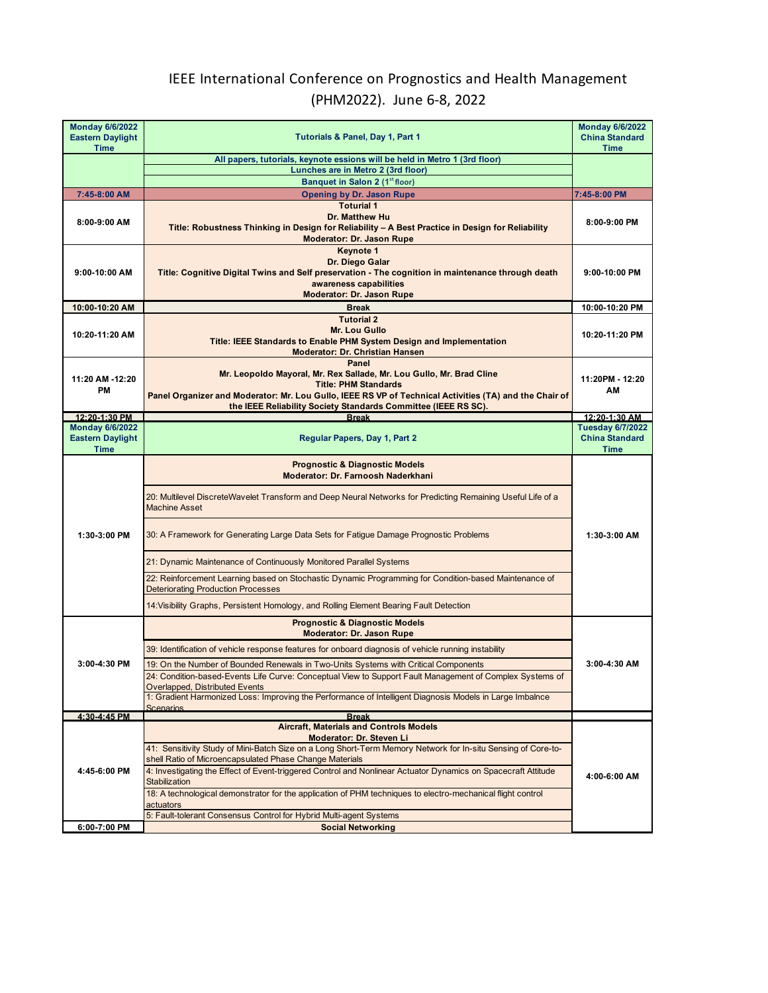## IEEE International Conference on Prognostics and Health Management (PHM2022). June 6-8, 2022

| <b>Monday 6/6/2022</b><br><b>Eastern Daylight</b><br><b>Time</b> | Tutorials & Panel, Day 1, Part 1                                                                                                                                                                                                                                                                                                                                                                                                                                                                                                                                                                                                       | <b>Monday 6/6/2022</b><br><b>China Standard</b><br><b>Time</b>  |
|------------------------------------------------------------------|----------------------------------------------------------------------------------------------------------------------------------------------------------------------------------------------------------------------------------------------------------------------------------------------------------------------------------------------------------------------------------------------------------------------------------------------------------------------------------------------------------------------------------------------------------------------------------------------------------------------------------------|-----------------------------------------------------------------|
|                                                                  | All papers, tutorials, keynote essions will be held in Metro 1 (3rd floor)<br>Lunches are in Metro 2 (3rd floor)                                                                                                                                                                                                                                                                                                                                                                                                                                                                                                                       |                                                                 |
|                                                                  | Banquet in Salon 2 (1st floor)                                                                                                                                                                                                                                                                                                                                                                                                                                                                                                                                                                                                         |                                                                 |
| 7:45-8:00 AM                                                     | <b>Opening by Dr. Jason Rupe</b>                                                                                                                                                                                                                                                                                                                                                                                                                                                                                                                                                                                                       | 7:45-8:00 PM                                                    |
| 8:00-9:00 AM                                                     | <b>Toturial 1</b><br>Dr. Matthew Hu<br>Title: Robustness Thinking in Design for Reliability - A Best Practice in Design for Reliability<br><b>Moderator: Dr. Jason Rupe</b>                                                                                                                                                                                                                                                                                                                                                                                                                                                            | 8:00-9:00 PM                                                    |
| $9:00-10:00$ AM                                                  | Keynote 1<br>Dr. Diego Galar<br>Title: Cognitive Digital Twins and Self preservation - The cognition in maintenance through death<br>awareness capabilities<br><b>Moderator: Dr. Jason Rupe</b>                                                                                                                                                                                                                                                                                                                                                                                                                                        | 9:00-10:00 PM                                                   |
| 10:00-10:20 AM                                                   | <b>Break</b>                                                                                                                                                                                                                                                                                                                                                                                                                                                                                                                                                                                                                           | 10:00-10:20 PM                                                  |
| 10:20-11:20 AM                                                   | <b>Tutorial 2</b><br><b>Mr. Lou Gullo</b><br>Title: IEEE Standards to Enable PHM System Design and Implementation<br><b>Moderator: Dr. Christian Hansen</b>                                                                                                                                                                                                                                                                                                                                                                                                                                                                            | 10:20-11:20 PM                                                  |
| 11:20 AM -12:20<br>PM                                            | Panel<br>Mr. Leopoldo Mayoral, Mr. Rex Sallade, Mr. Lou Gullo, Mr. Brad Cline<br><b>Title: PHM Standards</b><br>Panel Organizer and Moderator: Mr. Lou Gullo, IEEE RS VP of Technical Activities (TA) and the Chair of<br>the IEEE Reliability Society Standards Committee (IEEE RS SC).                                                                                                                                                                                                                                                                                                                                               | 11:20PM - 12:20<br>ΑМ                                           |
| 12:20-1:30 PM                                                    | <b>Break</b>                                                                                                                                                                                                                                                                                                                                                                                                                                                                                                                                                                                                                           | 12:20-1:30 AM                                                   |
| <b>Monday 6/6/2022</b><br><b>Eastern Daylight</b><br><b>Time</b> | <b>Regular Papers, Day 1, Part 2</b>                                                                                                                                                                                                                                                                                                                                                                                                                                                                                                                                                                                                   | <b>Tuesday 6/7/2022</b><br><b>China Standard</b><br><b>Time</b> |
| 1:30-3:00 PM                                                     | <b>Prognostic &amp; Diagnostic Models</b><br>Moderator: Dr. Farnoosh Naderkhani<br>20: Multilevel DiscreteWavelet Transform and Deep Neural Networks for Predicting Remaining Useful Life of a<br><b>Machine Asset</b><br>30: A Framework for Generating Large Data Sets for Fatigue Damage Prognostic Problems<br>21: Dynamic Maintenance of Continuously Monitored Parallel Systems<br>22: Reinforcement Learning based on Stochastic Dynamic Programming for Condition-based Maintenance of<br><b>Deteriorating Production Processes</b><br>14: Visibility Graphs, Persistent Homology, and Rolling Element Bearing Fault Detection | 1:30-3:00 AM                                                    |
|                                                                  | <b>Prognostic &amp; Diagnostic Models</b>                                                                                                                                                                                                                                                                                                                                                                                                                                                                                                                                                                                              |                                                                 |
| 3:00-4:30 PM                                                     | <b>Moderator: Dr. Jason Rupe</b><br>39: Identification of vehicle response features for onboard diagnosis of vehicle running instability<br>19: On the Number of Bounded Renewals in Two-Units Systems with Critical Components<br>24: Condition-based-Events Life Curve: Conceptual View to Support Fault Management of Complex Systems of<br>Overlapped, Distributed Events<br>1: Gradient Harmonized Loss: Improving the Performance of Intelligent Diagnosis Models in Large Imbalnce<br><b>Scenarios</b>                                                                                                                          | $3:00-4:30$ AM                                                  |
| 4:30-4:45 PM                                                     | <b>Break</b>                                                                                                                                                                                                                                                                                                                                                                                                                                                                                                                                                                                                                           |                                                                 |
| 4:45-6:00 PM                                                     | <b>Aircraft, Materials and Controls Models</b><br>Moderator: Dr. Steven Li<br>41: Sensitivity Study of Mini-Batch Size on a Long Short-Term Memory Network for In-situ Sensing of Core-to-<br>shell Ratio of Microencapsulated Phase Change Materials<br>4: Investigating the Effect of Event-triggered Control and Nonlinear Actuator Dynamics on Spacecraft Attitude<br>Stabilization<br>18: A technological demonstrator for the application of PHM techniques to electro-mechanical flight control                                                                                                                                 | 4:00-6:00 AM                                                    |
|                                                                  | actuators<br>5: Fault-tolerant Consensus Control for Hybrid Multi-agent Systems                                                                                                                                                                                                                                                                                                                                                                                                                                                                                                                                                        |                                                                 |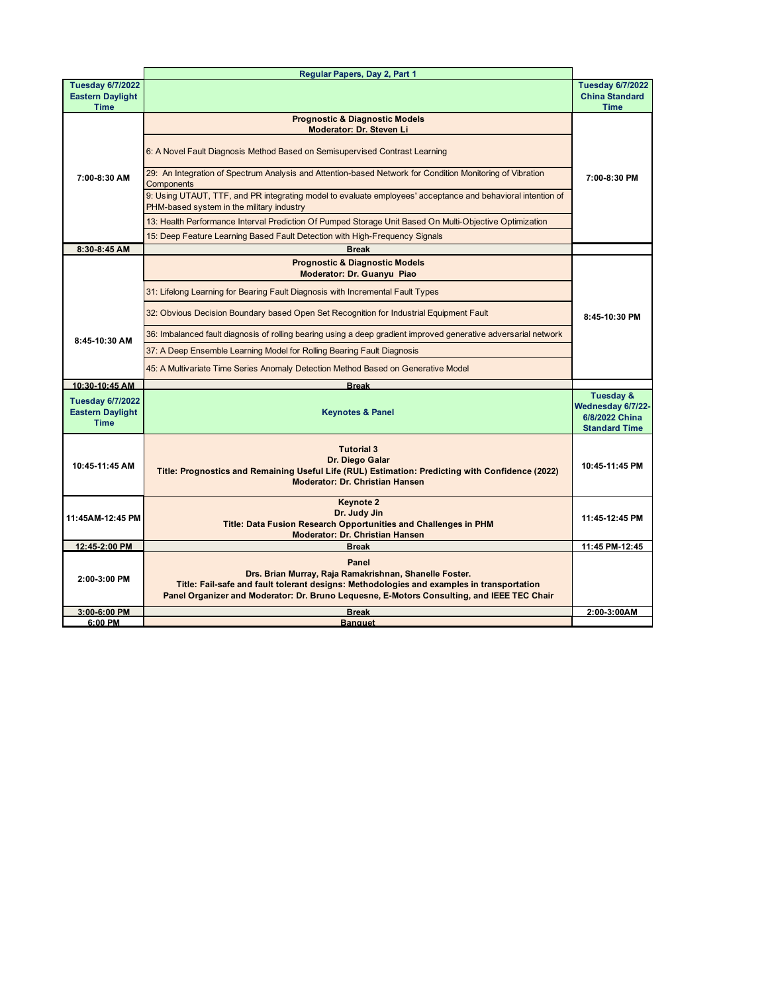|                                                                   | Regular Papers, Day 2, Part 1                                                                                                                                                                                                                              |                                                                                     |
|-------------------------------------------------------------------|------------------------------------------------------------------------------------------------------------------------------------------------------------------------------------------------------------------------------------------------------------|-------------------------------------------------------------------------------------|
| <b>Tuesday 6/7/2022</b><br><b>Eastern Daylight</b>                |                                                                                                                                                                                                                                                            | <b>Tuesday 6/7/2022</b><br><b>China Standard</b>                                    |
| <b>Time</b>                                                       |                                                                                                                                                                                                                                                            | <b>Time</b>                                                                         |
| 7:00-8:30 AM                                                      | <b>Prognostic &amp; Diagnostic Models</b><br>Moderator: Dr. Steven Li                                                                                                                                                                                      |                                                                                     |
|                                                                   | 6: A Novel Fault Diagnosis Method Based on Semisupervised Contrast Learning                                                                                                                                                                                |                                                                                     |
|                                                                   | 29: An Integration of Spectrum Analysis and Attention-based Network for Condition Monitoring of Vibration<br>Components                                                                                                                                    | 7:00-8:30 PM                                                                        |
|                                                                   | 9: Using UTAUT, TTF, and PR integrating model to evaluate employees' acceptance and behavioral intention of<br>PHM-based system in the military industry                                                                                                   |                                                                                     |
|                                                                   | 13: Health Performance Interval Prediction Of Pumped Storage Unit Based On Multi-Objective Optimization                                                                                                                                                    |                                                                                     |
|                                                                   | 15: Deep Feature Learning Based Fault Detection with High-Frequency Signals                                                                                                                                                                                |                                                                                     |
| 8:30-8:45 AM                                                      | <b>Break</b>                                                                                                                                                                                                                                               |                                                                                     |
|                                                                   | <b>Prognostic &amp; Diagnostic Models</b><br>Moderator: Dr. Guanyu Piao                                                                                                                                                                                    |                                                                                     |
|                                                                   | 31: Lifelong Learning for Bearing Fault Diagnosis with Incremental Fault Types                                                                                                                                                                             |                                                                                     |
|                                                                   | 32: Obvious Decision Boundary based Open Set Recognition for Industrial Equipment Fault                                                                                                                                                                    | 8:45-10:30 PM                                                                       |
| 8:45-10:30 AM                                                     | 36: Imbalanced fault diagnosis of rolling bearing using a deep gradient improved generative adversarial network                                                                                                                                            |                                                                                     |
|                                                                   | 37: A Deep Ensemble Learning Model for Rolling Bearing Fault Diagnosis                                                                                                                                                                                     |                                                                                     |
|                                                                   | 45: A Multivariate Time Series Anomaly Detection Method Based on Generative Model                                                                                                                                                                          |                                                                                     |
| 10:30-10:45 AM                                                    | <b>Break</b>                                                                                                                                                                                                                                               |                                                                                     |
| <b>Tuesday 6/7/2022</b><br><b>Eastern Daylight</b><br><b>Time</b> | <b>Keynotes &amp; Panel</b>                                                                                                                                                                                                                                | <b>Tuesday &amp;</b><br>Wednesday 6/7/22-<br>6/8/2022 China<br><b>Standard Time</b> |
| 10:45-11:45 AM                                                    | <b>Tutorial 3</b><br>Dr. Diego Galar<br>Title: Prognostics and Remaining Useful Life (RUL) Estimation: Predicting with Confidence (2022)<br><b>Moderator: Dr. Christian Hansen</b>                                                                         | 10:45-11:45 PM                                                                      |
| 11:45AM-12:45 PM                                                  | <b>Keynote 2</b><br>Dr. Judy Jin<br>Title: Data Fusion Research Opportunities and Challenges in PHM<br><b>Moderator: Dr. Christian Hansen</b>                                                                                                              | 11:45-12:45 PM                                                                      |
| 12:45-2:00 PM                                                     | <b>Break</b>                                                                                                                                                                                                                                               | 11:45 PM-12:45                                                                      |
| 2:00-3:00 PM                                                      | Panel<br>Drs. Brian Murray, Raja Ramakrishnan, Shanelle Foster.<br>Title: Fail-safe and fault tolerant designs: Methodologies and examples in transportation<br>Panel Organizer and Moderator: Dr. Bruno Lequesne, E-Motors Consulting, and IEEE TEC Chair |                                                                                     |
| 3:00-6:00 PM                                                      | <b>Break</b>                                                                                                                                                                                                                                               | 2:00-3:00AM                                                                         |
| 6:00 PM                                                           | <b>Banquet</b>                                                                                                                                                                                                                                             |                                                                                     |